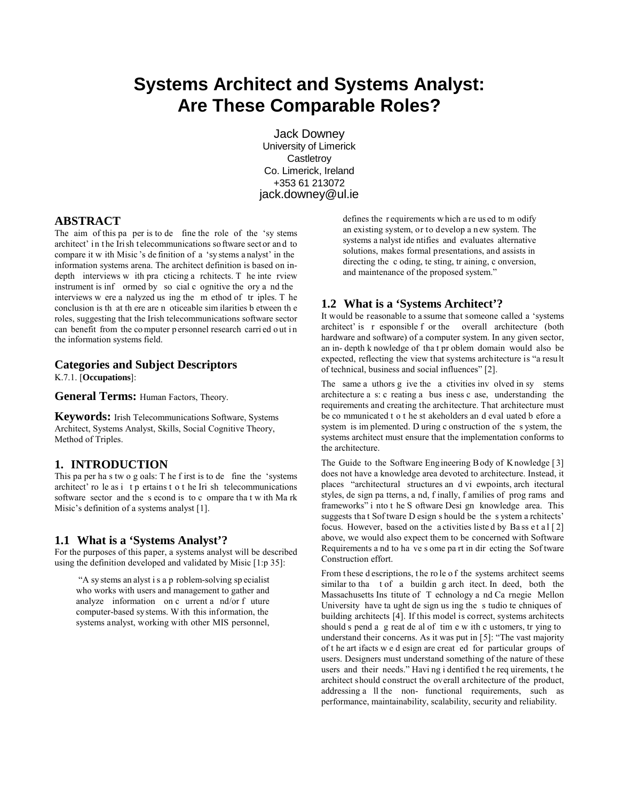# **Systems Architect and Systems Analyst: Are These Comparable Roles?**

Jack Downey University of Limerick **Castletroy** Co. Limerick, Ireland +353 61 213072 jack.downey@ul.ie

## **ABSTRACT**

The aim of this pa per is to de fine the role of the 'sy stems architect' in the Iri sh t elecommunications so ftware sect or and to compare it w ith Misic 's de finition of a 'sy stems a nalyst' in the information systems arena. The architect definition is based on indepth interviews w ith pra cticing a rchitects. T he inte rview instrument is inf ormed by so cial c ognitive the ory a nd the interviews w ere a nalyzed us ing the m ethod of tr iples. T he conclusion is th at th ere are n oticeable sim ilarities b etween th e roles, suggesting that the Irish telecommunications software sector can benefit from the computer p ersonnel research carried out in the information systems field.

#### **Categories and Subject Descriptors**

K.7.1. [**Occupations**]:

**General Terms:** Human Factors, Theory.

**Keywords:** Irish Telecommunications Software, Systems Architect, Systems Analyst, Skills, Social Cognitive Theory, Method of Triples.

#### **1. INTRODUCTION**

This pa per ha s tw o g oals: T he f irst is to de fine the 'systems architect' ro le as i t p ertains t o t he Iri sh telecommunications software sector and the s econd is to c ompare tha t w ith Ma rk Misic's definition of a systems analyst [1].

#### **1.1 What is a 'Systems Analyst'?**

For the purposes of this paper, a systems analyst will be described using the definition developed and validated by Misic [1:p 35]:

 "A sy stems an alyst i s a p roblem-solving sp ecialist who works with users and management to gather and analyze information on c urrent a nd/or f uture computer-based systems. With this information, the systems analyst, working with other MIS personnel,

defines the r equirements w hich a re us ed to m odify an existing system, or to develop a n ew system. The systems a nalyst ide ntifies and evaluates alternative solutions, makes formal presentations, and assists in directing the c oding, te sting, tr aining, c onversion, and maintenance of the proposed system."

#### **1.2 What is a 'Systems Architect'?**

It would be reasonable to a ssume that someone called a 'systems architect' is r esponsible f or the overall architecture (both hardware and software) of a computer system. In any given sector, an in- depth k nowledge of tha t pr oblem domain would also be expected, reflecting the view that systems architecture is "a resu lt of technical, business and social influences" [2].

The same a uthors g ive the a ctivities inv olved in sy stems architecture a s: c reating a bus iness c ase, understanding the requirements and creating the architecture. That architecture must be co mmunicated t o t he st akeholders an d eval uated b efore a system is im plemented. D uring c onstruction of the s ystem, the systems architect must ensure that the implementation conforms to the architecture.

The Guide to the Software Engineering Body of Knowledge [3] does not have a knowledge area devoted to architecture. Instead, it places "architectural structures an d vi ewpoints, arch itectural styles, de sign pa tterns, a nd, f inally, f amilies of prog rams and frameworks" i nto t he S oftware Desi gn knowledge area. This suggests tha t Sof tware D esign s hould be the s ystem a rchitects' focus. However, based on the a ctivities listed by Ba ss et al [2] above, we would also expect them to be concerned with Software Requirements a nd to ha ve s ome pa rt in dir ecting the Sof tware Construction effort.

From t hese d escriptions, t he ro le o f the systems architect seems similar to tha t of a buildin g arch itect. In deed, both the Massachusetts Ins titute of T echnology a nd Ca rnegie Mellon University have ta ught de sign us ing the s tudio te chniques of building architects [4]. If this model is correct, systems architects should s pend a g reat de al of tim e w ith c ustomers, tr ying to understand their concerns. As it was put in [5]: "The vast majority of t he art ifacts w e d esign are creat ed for particular groups of users. Designers must understand something of the nature of these users and their needs." Havi ng i dentified t he req uirements, t he architect should construct the overall architecture of the product, addressing a ll the non- functional requirements, such as performance, maintainability, scalability, security and reliability.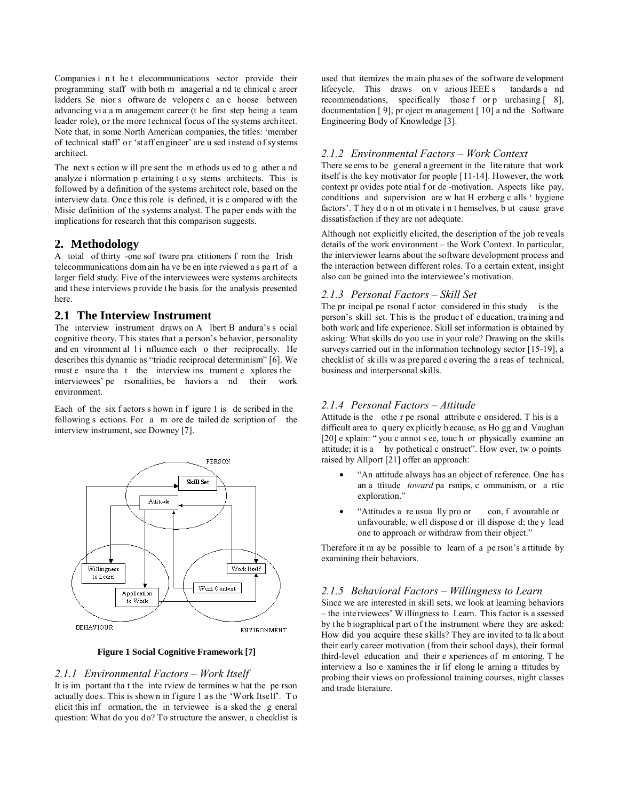Companies i n t he t elecommunications sector provide their programming staff with both m anagerial a nd te chnical c areer ladders. Se nior s oftware de velopers c an c hoose between advancing vi a a m anagement career (t he first step being a team leader role), or the more technical focus of the systems architect. Note that, in some North American companies, the titles: 'member of technical staff' or 'staff engineer' are u sed instead of systems architect.

The next s ection w ill pre sent the m ethods us ed to g ather a nd analyze i nformation p ertaining t o sy stems architects. This is followed by a definition of the systems architect role, based on the interview data. Once this role is defined, it is c ompared with the Misic definition of the systems analyst. The paper ends with the implications for research that this comparison suggests.

## **2. Methodology**

A total of thirty -one sof tware pra ctitioners f rom the Irish telecommunications dom ain ha ve be en inte rviewed a s pa rt of a larger field study. Five of the interviewees were systems architects and these interviews provide the basis for the analysis presented here.

## **2.1 The Interview Instrument**

The interview instrument draws on A lbert B andura's s ocial cognitive theory. This states that a person's behavior, personality and en vironment al l i nfluence each o ther reciprocally. He describes this dynamic as "triadic reciprocal determinism" [6]. We must e nsure tha t the interview ins trument e xplores the interviewees' pe rsonalities, be haviors a nd their work environment.

Each of the six f actors s hown in f igure 1 is de scribed in the following s ections. For a m ore de tailed de scription of the interview instrument, see Downey [7].



**Figure 1 Social Cognitive Framework [7]** 

## *2.1.1 Environmental Factors – Work Itself*

It is im portant tha t the inte rview de termines w hat the pe rson actually does. This is shown in figure 1 as the 'Work Itself'. To elicit this inf ormation, the in terviewee is a sked the g eneral question: What do you do? To structure the answer, a checklist is

used that itemizes the main pha ses of the software de velopment lifecycle. This draws on v arious IEEE s tandards a nd recommendations, specifically those f or p urchasing [ 8], documentation  $\lceil 9 \rceil$ , pr oject m anagement  $\lceil 10 \rceil$  a nd the Software Engineering Body of Knowledge [3].

## *2.1.2 Environmental Factors – Work Context*

There se ems to be g eneral a greement in the lite rature that work itself is the key motivator for people [11-14]. However, the work context pr ovides pote ntial f or de -motivation. Aspects like pay, conditions and supervision are w hat H erzberg c alls ' hygiene factors'. T hey d o n ot m otivate i n t hemselves, b ut cause grave dissatisfaction if they are not adequate.

Although not explicitly elicited, the description of the job reveals details of the work environment – the Work Context. In particular, the interviewer learns about the software development process and the interaction between different roles. To a certain extent, insight also can be gained into the interviewee's motivation.

## *2.1.3 Personal Factors – Skill Set*

The pr incipal pe rsonal f actor considered in this study is the person's skill set. This is the produc t of e ducation, tra ining a nd both work and life experience. Skill set information is obtained by asking: What skills do you use in your role? Drawing on the skills surveys carried out in the information technology sector [15-19], a checklist of sk ills w as pre pared c overing the a reas of technical, business and interpersonal skills.

# *2.1.4 Personal Factors – Attitude*

Attitude is the othe r pe rsonal attribute c onsidered. T his is a difficult area to q uery ex plicitly b ecause, as Ho gg an d Vaughan [20] e xplain: " you c annot s ee, touc h or physically examine an attitude; it is a hy pothetical c onstruct". How ever, tw o points raised by Allport [21] offer an approach:

- "An attitude always has an object of reference. One has an a ttitude *toward* pa rsnips, c ommunism, or a rtic exploration."
- "Attitudes a re usua lly pro or con, f avourable or unfavourable, w ell dispose d or ill dispose d; the y lead one to approach or withdraw from their object."

Therefore it m ay be possible to learn of a pe rson's a ttitude by examining their behaviors.

# *2.1.5 Behavioral Factors – Willingness to Learn*

Since we are interested in skill sets, we look at learning behaviors – the interviewees' Willingness to Learn. This factor is a ssessed by t he b iographical p art o f t he instrument where they are asked: How did you acquire these skills? They are invited to ta lk about their early career motivation (from their school days), their formal third-level education and their e xperiences of m entoring. T he interview a lso e xamines the ir lif elong le arning a ttitudes by probing their views on professional training courses, night classes and trade literature.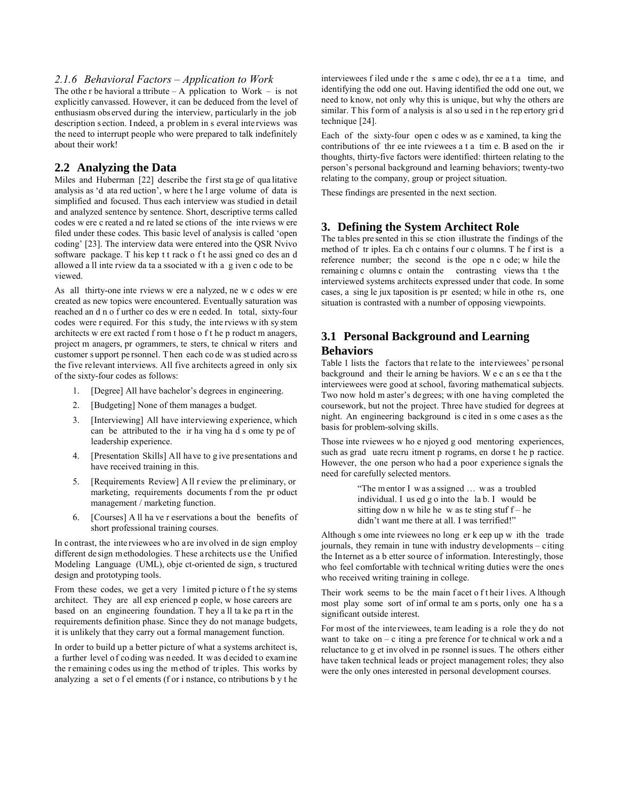#### *2.1.6 Behavioral Factors – Application to Work*

The other be havioral a ttribute – A pplication to Work – is not explicitly canvassed. However, it can be deduced from the level of enthusiasm observed during the interview, particularly in the job description s ection. I ndeed, a pr oblem in s everal inte rviews was the need to interrupt people who were prepared to talk indefinitely about their work!

## **2.2 Analyzing the Data**

Miles and Huberman [22] describe the first stage of qualitative analysis as 'd ata red uction', w here t he l arge volume of data is simplified and focused. Thus each interview was studied in detail and analyzed sentence by sentence. Short, descriptive terms called codes w ere c reated a nd re lated se ctions of the inte rviews w ere filed under these codes. This basic level of analysis is called 'open coding' [23]. The interview data were entered into the QSR Nvivo software package. T his kep t t rack o f t he assi gned co des an d allowed a ll inte rview da ta a ssociated w ith a g iven c ode to be viewed.

As all thirty-one inte rviews w ere a nalyzed, ne w c odes w ere created as new topics were encountered. Eventually saturation was reached an d n o f urther co des w ere n eeded. In total, sixty-four codes were r equired. For this s tudy, the inte rviews w ith sy stem architects w ere ext racted f rom t hose o f t he p roduct m anagers, project m anagers, pr ogrammers, te sters, te chnical w riters and customer s upport pe rsonnel. T hen each co de w as st udied acro ss the five relevant interviews. All five architects agreed in only six of the sixty-four codes as follows:

- 1. [Degree] All have bachelor's degrees in engineering.
- 2. [Budgeting] None of them manages a budget.
- 3. [Interviewing] All have interviewing experience, which can be attributed to the ir ha ving ha d s ome ty pe of leadership experience.
- 4. [Presentation Skills] All have to g ive presentations and have received training in this.
- 5. [Requirements Review] A ll r eview the pr eliminary, or marketing, requirements documents f rom the pr oduct management / marketing function.
- 6. [Courses] A ll ha ve r eservations a bout the benefits of short professional training courses.

In contrast, the interviewees who are involved in de sign employ different de sign methodologies. These a rchitects us e the Unified Modeling Language (UML), obje ct-oriented de sign, s tructured design and prototyping tools.

From these codes, we get a very 1 imited p icture of the systems architect. They are all exp erienced p eople, w hose careers are based on an engineering foundation. T hey a ll ta ke pa rt in the requirements definition phase. Since they do not manage budgets, it is unlikely that they carry out a formal management function.

In order to build up a better picture of what a systems architect is, a further level of coding was needed. It was decided to examine the r emaining c odes us ing the m ethod of tr iples. This works by analyzing a set o f el ements (f or i nstance, co ntributions b y t he

interviewees f iled unde r the s ame c ode), thr ee a t a time, and identifying the odd one out. Having identified the odd one out, we need to know, not only why this is unique, but why the others are similar. This form of a nalysis is also used in the rep ertory grid technique [24].

Each of the sixty-four open c odes w as e xamined, ta king the contributions of thr ee inte rviewees a t a tim e. B ased on the ir thoughts, thirty-five factors were identified: thirteen relating to the person's personal background and learning behaviors; twenty-two relating to the company, group or project situation.

These findings are presented in the next section.

#### **3. Defining the System Architect Role**

The ta bles pre sented in this se ction illustrate the findings of the method of tr iples. Ea ch c ontains f our c olumns. T he f irst is a reference number; the second is the ope n c ode; w hile the remaining c olumns c ontain the contrasting views tha t the interviewed systems architects expressed under that code. In some cases, a sing le jux taposition is pr esented; w hile in othe rs, one situation is contrasted with a number of opposing viewpoints.

# **3.1 Personal Background and Learning Behaviors**

Table 1 lists the factors tha t re late to the inte rviewees' pe rsonal background and their le arning be haviors. W e c an s ee tha t the interviewees were good at school, favoring mathematical subjects. Two now hold m aster's degrees; with one having completed the coursework, but not the project. Three have studied for degrees at night. An engineering background is c ited in s ome c ases a s the basis for problem-solving skills.

Those inte rviewees w ho e njoyed g ood mentoring experiences, such as grad uate recru itment p rograms, en dorse t he p ractice. However, the one person who had a poor experience signals the need for carefully selected mentors.

> "The m entor I w as a ssigned … w as a troubled individual. I us ed g o into the la b. I would be sitting down w hile he w as te sting stuf  $f - he$ didn't want me there at all. I was terrified!"

Although s ome inte rviewees no long er k eep up w ith the trade journals, they remain in tune with industry developments – citing the Internet as a b etter source of information. Interestingly, those who feel comfortable with technical writing duties were the ones who received writing training in college.

Their work seems to be the main f acet o f t heir l ives. A lthough most play some sort of inf ormal te am s ports, only one ha s a significant outside interest.

For most of the interviewees, team leading is a role they do not want to take on  $- c$  iting a pre ference f or te chnical w ork and a reluctance to g et inv olved in pe rsonnel is sues. The others either have taken technical leads or project management roles; they also were the only ones interested in personal development courses.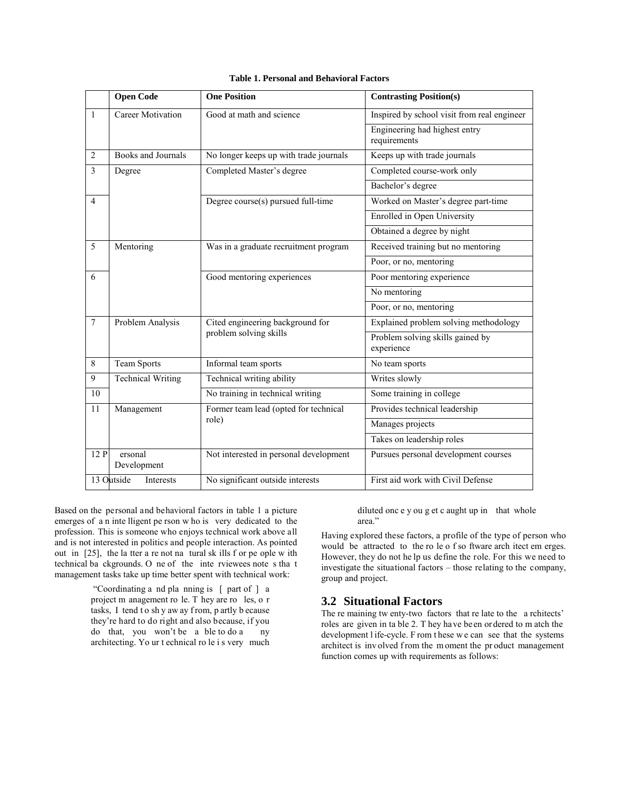|                 | <b>Open Code</b>         | <b>One Position</b>                                        | <b>Contrasting Position(s)</b>                 |
|-----------------|--------------------------|------------------------------------------------------------|------------------------------------------------|
| $\mathbf{1}$    | Career Motivation        | Good at math and science                                   | Inspired by school visit from real engineer    |
|                 |                          |                                                            | Engineering had highest entry<br>requirements  |
| 2               | Books and Journals       | No longer keeps up with trade journals                     | Keeps up with trade journals                   |
| 3               | Degree                   | Completed Master's degree                                  | Completed course-work only                     |
|                 |                          |                                                            | Bachelor's degree                              |
| $\overline{4}$  |                          | Degree course(s) pursued full-time                         | Worked on Master's degree part-time            |
|                 |                          |                                                            | Enrolled in Open University                    |
|                 |                          |                                                            | Obtained a degree by night                     |
| 5               | Mentoring                | Was in a graduate recruitment program                      | Received training but no mentoring             |
|                 |                          |                                                            | Poor, or no, mentoring                         |
| 6               |                          | Good mentoring experiences                                 | Poor mentoring experience                      |
|                 |                          |                                                            | No mentoring                                   |
|                 |                          |                                                            | Poor, or no, mentoring                         |
| $7\phantom{.0}$ | Problem Analysis         | Cited engineering background for<br>problem solving skills | Explained problem solving methodology          |
|                 |                          |                                                            | Problem solving skills gained by<br>experience |
| 8               | <b>Team Sports</b>       | Informal team sports                                       | No team sports                                 |
| 9               | <b>Technical Writing</b> | Technical writing ability                                  | Writes slowly                                  |
| 10              |                          | No training in technical writing                           | Some training in college                       |
| 11              | Management               | Former team lead (opted for technical<br>role)             | Provides technical leadership                  |
|                 |                          |                                                            | Manages projects                               |
|                 |                          |                                                            | Takes on leadership roles                      |
| 12 P            | ersonal<br>Development   | Not interested in personal development                     | Pursues personal development courses           |
|                 | 13 Outside<br>Interests  | No significant outside interests                           | First aid work with Civil Defense              |

#### **Table 1. Personal and Behavioral Factors**

Based on the personal and behavioral factors in table 1 a picture emerges of a n inte lligent pe rson w ho is very dedicated to the profession. This is someone who enjoys technical work above all and is not interested in politics and people interaction. As pointed out in [25], the la tter a re not na tural sk ills f or pe ople w ith technical ba ckgrounds. O ne of the inte rviewees note s tha t management tasks take up time better spent with technical work:

> "Coordinating a nd pla nning is [ part of ] a project m anagement ro le. T hey are ro les, o r tasks, I tend to shy aw ay from, p artly b ecause they're hard to do right and also because, if you do that, you won't be a ble to do a ny architecting. Yo ur t echnical ro le i s very much

diluted onc e y ou g et c aught up in that whole area."

Having explored these factors, a profile of the type of person who would be attracted to the ro le o f so ftware arch itect em erges. However, they do not he lp us define the role. For this we need to investigate the situational factors – those relating to the company, group and project.

# **3.2 Situational Factors**

The re maining tw enty-two factors that re late to the a rchitects' roles are given in ta ble 2. T hey have been ordered to m atch the development l ife-cycle. F rom t hese w e can see that the systems architect is inv olved f rom the m oment the pr oduct management function comes up with requirements as follows: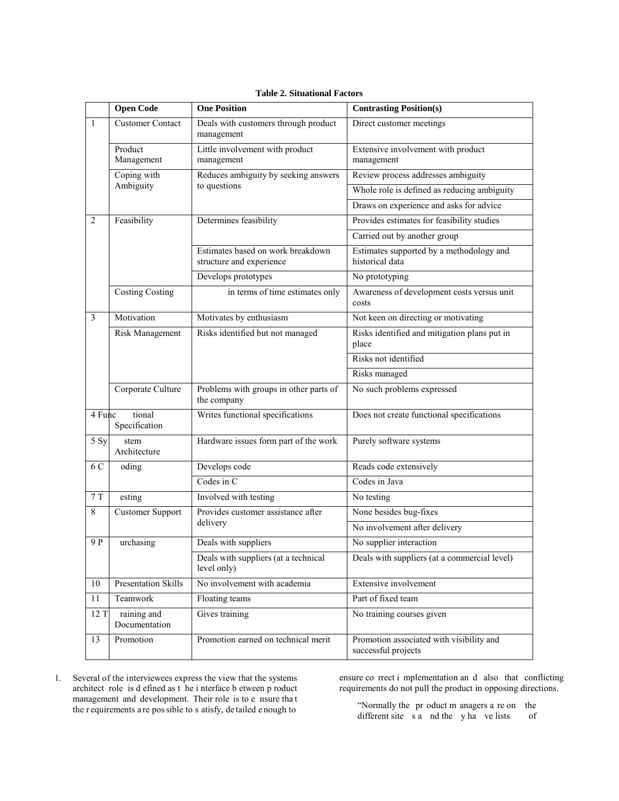|                | <b>Open Code</b>             | <b>One Position</b>                                           | <b>Contrasting Position(s)</b>                                  |
|----------------|------------------------------|---------------------------------------------------------------|-----------------------------------------------------------------|
| 1              | Customer Contact             | Deals with customers through product<br>management            | Direct customer meetings                                        |
|                | Product<br>Management        | Little involvement with product<br>management                 | Extensive involvement with product<br>management                |
|                | Coping with                  | Reduces ambiguity by seeking answers                          | Review process addresses ambiguity                              |
|                | Ambiguity                    | to questions                                                  | Whole role is defined as reducing ambiguity                     |
|                |                              |                                                               | Draws on experience and asks for advice                         |
| 2              | Feasibility                  | Determines feasibility                                        | Provides estimates for feasibility studies                      |
|                |                              |                                                               | Carried out by another group                                    |
|                |                              | Estimates based on work breakdown<br>structure and experience | Estimates supported by a methodology and<br>historical data     |
|                |                              | Develops prototypes                                           | No prototyping                                                  |
|                | <b>Costing Costing</b>       | in terms of time estimates only                               | Awareness of development costs versus unit<br>costs             |
| $\overline{3}$ | Motivation                   | Motivates by enthusiasm                                       | Not keen on directing or motivating                             |
|                | Risk Management              | Risks identified but not managed                              | Risks identified and mitigation plans put in<br>place           |
|                |                              |                                                               | Risks not identified                                            |
|                |                              |                                                               | Risks managed                                                   |
|                | Corporate Culture            | Problems with groups in other parts of<br>the company         | No such problems expressed                                      |
| 4 Func         | tional<br>Specification      | Writes functional specifications                              | Does not create functional specifications                       |
| 5 Sy           | stem<br>Architecture         | Hardware issues form part of the work                         | Purely software systems                                         |
| 6 C            | oding                        | Develops code                                                 | Reads code extensively                                          |
|                |                              | Codes in C                                                    | Codes in Java                                                   |
| 7T             | esting                       | Involved with testing                                         | No testing                                                      |
| 8              | <b>Customer Support</b>      | Provides customer assistance after                            | None besides bug-fixes                                          |
|                |                              | delivery                                                      | No involvement after delivery                                   |
| 9 P            | urchasing                    | Deals with suppliers                                          | No supplier interaction                                         |
|                |                              | Deals with suppliers (at a technical<br>level only)           | Deals with suppliers (at a commercial level)                    |
| $10\,$         | <b>Presentation Skills</b>   | No involvement with academia                                  | Extensive involvement                                           |
| 11             | Teamwork                     | Floating teams                                                | Part of fixed team                                              |
| 12 T           | raining and<br>Documentation | Gives training                                                | No training courses given                                       |
| 13             | Promotion                    | Promotion earned on technical merit                           | Promotion associated with visibility and<br>successful projects |

# **Table 2. Situational Factors**

1. Several of the interviewees express the view that the systems architect role is d efined as t he i nterface b etween p roduct management and development. Their role is to e nsure tha t the r equirements a re pos sible to s atisfy, de tailed e nough to

ensure co rrect i mplementation an d also that conflicting requirements do not pull the product in opposing directions.

"Normally the pr oduct m anagers a re on the different site s a nd the y ha ve lists of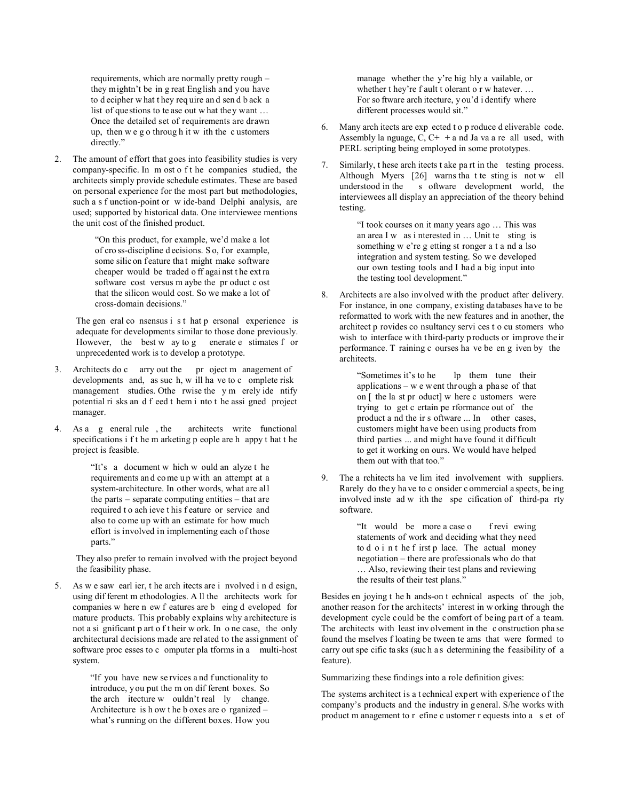requirements, which are normally pretty rough – they mightn't be in g reat English and you have to d ecipher w hat t hey req uire an d sen d b ack a list of questions to te ase out w hat they want … Once the detailed set of requirements are drawn up, then w e g o throug h it w ith the c ustomers directly."

2. The amount of effort that goes into feasibility studies is very company-specific. In m ost o f t he companies studied, the architects simply provide schedule estimates. These are based on personal experience for the most part but methodologies, such a s f unction-point or w ide-band Delphi analysis, are used; supported by historical data. One interviewee mentions the unit cost of the finished product.

> "On this product, for example, we'd make a lot of cro ss-discipline d ecisions. S o, f or example, some silic on feature that might make software cheaper would be traded o ff agai nst t he ext ra software cost versus m aybe the pr oduct c ost that the silicon would cost. So we make a lot of cross-domain decisions."

The gen eral co nsensus i s t hat p ersonal experience is adequate for developments similar to those done previously. However, the best w ay to g enerate e stimates f or unprecedented work is to develop a prototype.

- 3. Architects do c arry out the pr oject m anagement of developments and, as such, w ill ha ve to c omplete risk management studies. Othe rwise the y m erely ide ntify potential ri sks an d f eed t hem i nto t he assi gned project manager.
- 4. As a g eneral rule , the architects write functional specifications i f t he m arketing p eople are h appy t hat t he project is feasible.

"It's a document w hich w ould an alyze t he requirements and come up with an attempt at a system-architecture. In other words, what are all the parts – separate computing entities – that are required t o ach ieve t his f eature or service and also to come up with an estimate for how much effort is involved in implementing each of those parts."

They also prefer to remain involved with the project beyond the feasibility phase.

5. As w e saw earl ier, t he arch itects are i nvolved i n d esign, using dif ferent m ethodologies. A ll the architects work for companies w here n ew f eatures are b eing d eveloped for mature products. This probably explains why architecture is not a si gnificant p art o f t heir w ork. In o ne case, the only architectural decisions made are rel ated to the assignment of software proc esses to c omputer pla tforms in a multi-host system.

> "If you have new se rvices a nd f unctionality to introduce, y ou put the m on dif ferent boxes. So the arch itecture w ouldn't real ly change. Architecture is h ow t he b oxes are o rganized – what's running on the different boxes. How you

manage whether the y're hig hly a vailable, or whether t hey're f ault t olerant o r w hatever. … For so ftware arch itecture, y ou'd i dentify where different processes would sit."

- 6. Many arch itects are exp ected t o p roduce d eliverable code. Assembly la nguage,  $C$ ,  $C^+$  + a nd Ja va a re all used, with PERL scripting being employed in some prototypes.
- 7. Similarly, t hese arch itects t ake pa rt in the testing process. Although Myers [26] warns tha t te sting is not w ell understood in the s oftware development world, the interviewees all display an appreciation of the theory behind testing.

"I took courses on it many years ago … This was an area I w as i nterested in … Unit te sting is something w e're g etting st ronger a t a nd a lso integration and system testing. So we developed our own testing tools and I had a big input into the testing tool development."

8. Architects are also involved with the product after delivery. For instance, in one company, existing databases have to be reformatted to work with the new features and in another, the architect p rovides co nsultancy servi ces t o cu stomers who wish to interface with third-party products or improve their performance. T raining c ourses ha ve be en g iven by the architects.

> "Sometimes it's to he lp them tune their applications –  $w$  e went through a phase of that on [ the la st pr oduct] w here c ustomers were trying to get c ertain pe rformance out of the product a nd the ir s oftware ... In other cases, customers might have been using products from third parties ... and might have found it difficult to get it working on ours. We would have helped them out with that too."

9. The a rchitects ha ve lim ited involvement with suppliers. Rarely do the y ha ve to c onsider c ommercial a spects, be ing involved inste ad w ith the spe cification of third-pa rty software.

> "It would be more a case o f revi ewing statements of work and deciding what they need to d o i n t he f irst p lace. The actual money negotiation – there are professionals who do that … Also, reviewing their test plans and reviewing the results of their test plans."

Besides en joying t he h ands-on t echnical aspects of the job, another reason for the architects' interest in w orking through the development cycle could be the comfort of being part of a team. The architects with least inv olvement in the c onstruction pha se found the mselves f loating be tween te ams that were formed to carry out spe cific ta sks (such a s determining the feasibility of a feature).

Summarizing these findings into a role definition gives:

The systems architect is a t echnical expert with experience of the company's products and the industry in general. S/he works with product m anagement to r efine c ustomer r equests into a s et of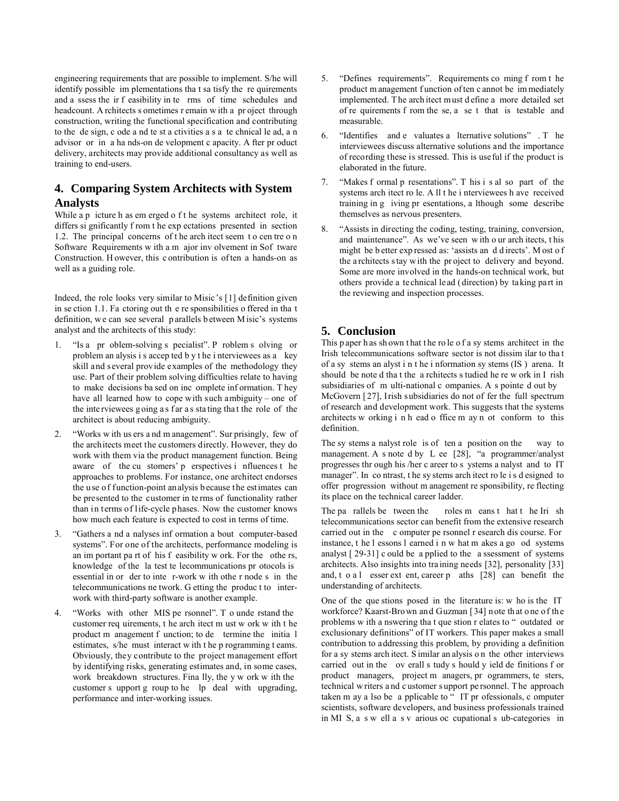engineering requirements that are possible to implement. S/he will identify possible im plementations that sa tisfy the requirements and a ssess the ir f easibility in te rms of time schedules and headcount. A rchitects s ometimes r emain w ith a project through construction, writing the functional specification and contributing to the de sign, c ode a nd te st a ctivities a s a te chnical le ad, a n advisor or in a hands-on de velopment c apacity. A fter product delivery, architects may provide additional consultancy as well as training to end-users.

# 4. Comparing System Architects with System **Analysts**

While a p icture h as em erged o f t he systems architect role, it differs si gnificantly f rom t he exp ectations presented in section 1.2. The principal concerns of the arch itect seem to cen tre on Software Requirements w ith a m ajor inv olvement in Sof tware Construction. However, this contribution is often a hands-on as well as a guiding role.

Indeed, the role looks very similar to Misic's [1] definition given in se ction 1.1. Fa ctoring out the responsibilities offered in that definition, we can see several parallels between Misic's systems analyst and the architects of this study:

- "Is a pr oblem-solving s pecialist". P roblem s olving or problem an alysis i s accepted b y the interviewees as a key skill and several provide examples of the methodology they use. Part of their problem solving difficulties relate to having to make decisions based on inc omplete information. They have all learned how to cope with such ambiguity – one of the interviewees going as far as stating that the role of the architect is about reducing ambiguity.
- "Works with us ers and management". Sur prisingly, few of  $2^{\circ}$ the architects meet the customers directly. However, they do work with them via the product management function. Being aware of the cu stomers' p erspectives i nfluences t he approaches to problems. For instance, one architect endorses the use of function-point analysis because the estimates can be presented to the customer in terms of functionality rather than in terms of life-cycle phases. Now the customer knows how much each feature is expected to cost in terms of time.
- $\mathcal{E}$ "Gathers a nd a nalyses inf ormation a bout computer-based systems". For one of the architects, performance modeling is an important part of his f easibility w ork. For the others, knowledge of the la test te lecommunications pr otocols is essential in or der to inte r-work w ith other node s in the telecommunications ne twork. G etting the product to interwork with third-party software is another example.
- "Works with other MIS pe rsonnel". To understand the  $\mathbf{\Delta}$ customer req uirements, t he arch itect m ust w ork w ith t he product m anagement f unction; to de termine the initia 1 estimates, s/he must interact with the programming teams. Obviously, they contribute to the project management effort by identifying risks, generating estimates and, in some cases, work breakdown structures. Fina lly, the y w ork w ith the customer s upport g roup to he lp deal with upgrading, performance and inter-working issues.
- 5. "Defines requirements". Requirements co ming f rom t he product management function often c annot be immediately implemented. The architect must define a more detailed set of requirements f rom the se, a set that is testable and measurable.
- 6. "Identifies and e valuates a Iternative solutions". T he interviewees discuss alternative solutions and the importance of recording these is stressed. This is use ful if the product is elaborated in the future.
- $7<sub>1</sub>$ "Makes f ormal p resentations". T his i s al so part of the systems arch itect ro le. A ll t he i nterviewees h ave received training in g iving pr esentations, a lthough some describe themselves as nervous presenters.
- "Assists in directing the coding, testing, training, conversion, 8 and maintenance". As we've seen with our architects, this might be better expressed as: 'assists an d directs'. Most of the architects stay with the project to delivery and beyond. Some are more involved in the hands-on technical work, but others provide a technical lead (direction) by taking part in the reviewing and inspection processes.

# 5. Conclusion

This paper has shown that the role of a sy stems architect in the Irish telecommunications software sector is not dissim ilar to that of a sy stems an alyst i n t he i nformation sy stems (IS) arena. It should be note d that the a rchitects s tudied he re w ork in I rish subsidiaries of m ulti-national c ompanies. A s pointe d out by McGovern [27], Irish subsidiaries do not of fer the full spectrum of research and development work. This suggests that the systems architects w orking i n h ead o ffice m ay n ot conform to this definition.

The sy stems a nalyst role is of ten a position on the way to management. A s note d by L ee [28], "a programmer/analyst progresses thr ough his /her c areer to s ystems a nalyst and to IT manager". In contrast, the systems architect role is designed to offer progression without m anagement re sponsibility, reflecting its place on the technical career ladder.

The pa rallels be tween the roles m eans t hat t he Iri sh telecommunications sector can benefit from the extensive research carried out in the c omputer pe rsonnel r esearch dis course. For instance, t he l essons l earned i n w hat m akes a go od systems analyst [29-31] c ould be a pplied to the a ssessment of systems architects. Also insights into training needs [32], personality [33] and, t o a l esser ext ent, career p aths [28] can benefit the understanding of architects.

One of the que stions posed in the literature is: w ho is the IT workforce? Kaarst-Brown and Guzman [34] note that one of the problems w ith a nswering that que stion r elates to " outdated or exclusionary definitions" of IT workers. This paper makes a small contribution to addressing this problem, by providing a definition for a sy stems architect. Similar analysis on the other interviews carried out in the overall study should y ield de finitions f or product managers, project m anagers pr ogrammers te sters, technical writers and customer support personnel. The approach taken m ay a lso be a pplicable to "IT pr ofessionals, c omputer scientists, software developers, and business professionals trained in MI S, a s w ell a s v arious oc cupational s ub-categories in